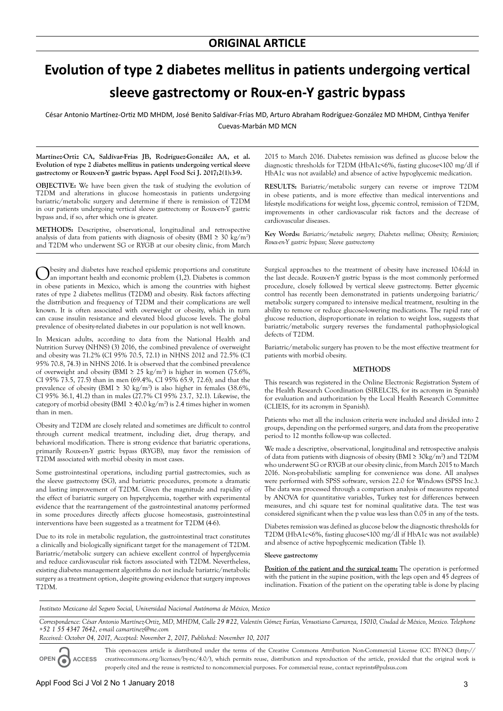# **Evolution of type 2 diabetes mellitus in patients undergoing vertical sleeve gastrectomy or Roux-en-Y gastric bypass**

César Antonio Martínez-Ortiz MD MHDM, José Benito Saldívar-Frías MD, Arturo Abraham Rodríguez-González MD MHDM, Cinthya Yenifer Cuevas-Marbán MD MCN

**Martínez-Ortiz CA, Saldívar-Frías JB, Rodríguez-González AA, et al. Evolution of type 2 diabetes mellitus in patients undergoing vertical sleeve gastrectomy or Roux-en-Y gastric bypass. Appl Food Sci J. 2017;2(1):3-9.**

**OBJECTIVE:** We have been given the task of studying the evolution of T2DM and alterations in glucose homeostasis in patients undergoing bariatric/metabolic surgery and determine if there is remission of T2DM in our patients undergoing vertical sleeve gastrectomy or Roux-en-Y gastric bypass and, if so, after which one is greater.

**METHODS:** Descriptive, observational, longitudinal and retrospective analysis of data from patients with diagnosis of obesity (BMI  $\geq 30 \text{ kg/m}^2$ ) and T2DM who underwent SG or RYGB at our obesity clinic, from March

O besity and diabetes have reached epidemic proportions and constitute an important health and economic problem (1,2). Diabetes is common in obese patients in Mexico, which is among the countries with highest rates of type 2 diabetes mellitus (T2DM) and obesity. Risk factors affecting the distribution and frequency of T2DM and their complications are well known. It is often associated with overweight or obesity, which in turn can cause insulin resistance and elevated blood glucose levels. The global prevalence of obesity-related diabetes in our population is not well known.

In Mexican adults, according to data from the National Health and Nutrition Survey (NHNS) (3) 2016, the combined prevalence of overweight and obesity was 71.2% (CI 95% 70.5, 72.1) in NHNS 2012 and 72.5% (CI 95% 70.8, 74.3) in NHNS 2016. It is observed that the combined prevalence of overweight and obesity (BMI  $\geq 25 \text{ kg/m}^2$ ) is higher in women (75.6%, CI 95% 73.5, 77.5) than in men (69.4%, CI 95% 65.9, 72.6); and that the prevalence of obesity (BMI  $\geq 30 \text{ kg/m}^2$ ) is also higher in females (38.6%, CI 95% 36.1, 41.2) than in males (27.7% CI 95% 23.7, 32.1). Likewise, the category of morbid obesity (BMI  $\geq 40.0 \text{ kg/m}^2$ ) is 2.4 times higher in women than in men.

Obesity and T2DM are closely related and sometimes are difficult to control through current medical treatment, including diet, drug therapy, and behavioral modification. There is strong evidence that bariatric operations, primarily Roux-en-Y gastric bypass (RYGB), may favor the remission of T2DM associated with morbid obesity in most cases.

Some gastrointestinal operations, including partial gastrectomies, such as the sleeve gastrectomy (SG), and bariatric procedures, promote a dramatic and lasting improvement of T2DM. Given the magnitude and rapidity of the effect of bariatric surgery on hyperglycemia, together with experimental evidence that the rearrangement of the gastrointestinal anatomy performed in some procedures directly affects glucose homeostasis, gastrointestinal interventions have been suggested as a treatment for T2DM (4-6).

Due to its role in metabolic regulation, the gastrointestinal tract constitutes a clinically and biologically significant target for the management of T2DM. Bariatric/metabolic surgery can achieve excellent control of hyperglycemia and reduce cardiovascular risk factors associated with T2DM. Nevertheless, existing diabetes management algorithms do not include bariatric/metabolic surgery as a treatment option, despite growing evidence that surgery improves T2DM.

2015 to March 2016. Diabetes remission was defined as glucose below the diagnostic thresholds for T2DM (HbA1c<6%, fasting glucose<100 mg/dl if HbA1c was not available) and absence of active hypoglycemic medication.

**RESULTS:** Bariatric/metabolic surgery can reverse or improve T2DM in obese patients, and is more effective than medical interventions and lifestyle modifications for weight loss, glycemic control, remission of T2DM, improvements in other cardiovascular risk factors and the decrease of cardiovascular diseases.

**Key Words:** *Bariatric/metabolic surgery; Diabetes mellitus; Obesity; Remission; Roux-en-Y gastric bypass; Sleeve gastrectomy*

Surgical approaches to the treatment of obesity have increased 10-fold in the last decade. Roux-en-Y gastric bypass is the most commonly performed procedure, closely followed by vertical sleeve gastrectomy. Better glycemic control has recently been demonstrated in patients undergoing bariatric/ metabolic surgery compared to intensive medical treatment, resulting in the ability to remove or reduce glucose-lowering medications. The rapid rate of glucose reduction, disproportionate in relation to weight loss, suggests that bariatric/metabolic surgery reverses the fundamental pathophysiological defects of T2DM.

Bariatric/metabolic surgery has proven to be the most effective treatment for patients with morbid obesity.

#### **METHODS**

This research was registered in the Online Electronic Registration System of the Health Research Coordination (SIRELCIS, for its acronym in Spanish) for evaluation and authorization by the Local Health Research Committee (CLIEIS, for its acronym in Spanish).

Patients who met all the inclusion criteria were included and divided into 2 groups, depending on the performed surgery, and data from the preoperative period to 12 months follow-up was collected.

We made a descriptive, observational, longitudinal and retrospective analysis of data from patients with diagnosis of obesity (BMI ≥ 30kg/m<sup>2</sup> ) and T2DM who underwent SG or RYGB at our obesity clinic, from March 2015 to March 2016. Non-probabilistic sampling for convenience was done. All analyses were performed with SPSS software, version 22.0 for Windows (SPSS Inc.). The data was processed through a comparison analysis of measures repeated by ANOVA for quantitative variables, Turkey test for differences between measures, and chi square test for nominal qualitative data. The test was considered significant when the p value was less than 0.05 in any of the tests.

Diabetes remission was defined as glucose below the diagnostic thresholds for T2DM (HbA1c<6%, fasting glucose<100 mg/dl if HbA1c was not available) and absence of active hypoglycemic medication (Table 1).

#### **Sleeve gastrectomy**

**Position of the patient and the surgical team:** The operation is performed with the patient in the supine position, with the legs open and 45 degrees of inclination. Fixation of the patient on the operating table is done by placing

*Instituto Mexicano del Seguro Social, Universidad Nacional Autónoma de México, Mexico*

*Correspondence: César Antonio Martínez-Ortiz, MD, MHDM, Calle 29 #22, Valentín Gómez Farías, Venustiano Carranza, 15010, Ciudad de México, Mexico. Telephone +52 1 55 4347 7642, e-mail camartinez@me.com* 

*Received: October 04, 2017, Accepted: November 2, 2017, Published: November 10, 2017*

**OPEN ACCESS**

This open-access article is distributed under the terms of the Creative Commons Attribution Non-Commercial License (CC BY-NC) (http:// creativecommons.org/licenses/by-nc/4.0/), which permits reuse, distribution and reproduction of the article, provided that the original work is properly cited and the reuse is restricted to noncommercial purposes. For commercial reuse, contact reprints@pulsus.com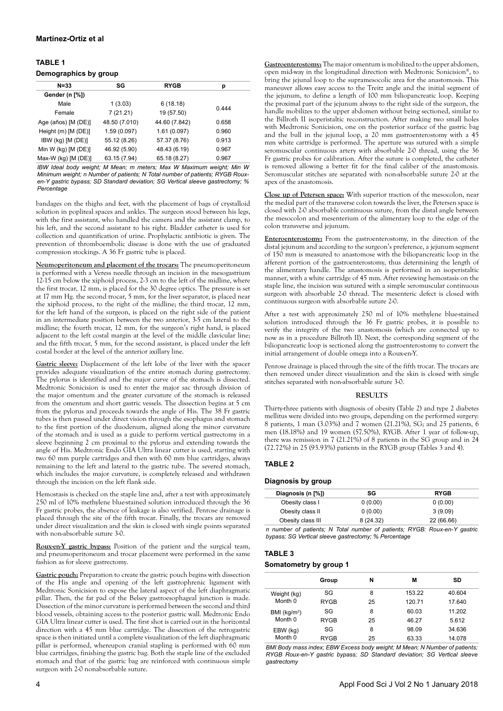## **TABLE 1 Demographics by group**

| $N = 33$                | SG            | <b>RYGB</b>   | р     |
|-------------------------|---------------|---------------|-------|
| Gender (n [%])          |               |               |       |
| Male                    | 1(3.03)       | 6(18.18)      | 0.444 |
| Female                  | 7(21.21)      | 19 (57.50)    |       |
| Age (años) [M (DE)]     | 48.50 (7.010) | 44.60 (7.842) | 0.658 |
| Height $(m)$ $[M (DE)]$ | 1.59(0.097)   | 1.61(0.097)   | 0.960 |
| IBW (kg) [M (DE)]       | 55.12 (8.26)  | 57.37 (8.76)  | 0.913 |
| Min W (kg) $[M (DE)]$   | 46.92 (5.90)  | 48.43 (6.19)  | 0.967 |
| Max-W (kg) [M (DE)]     | 63.15 (7.94)  | 65.18 (8.27)  | 0.967 |
|                         |               |               |       |

*IBW Ideal body weight; M Mean; m meters; Max W Maximum weight; Min W Minimum weight; n Number of patients; N Total number of patients; RYGB Rouxen-Y gastric bypass; SD Standard deviation; SG Vertical sleeve gastrectomy; % Percentage*

bandages on the thighs and feet, with the placement of bags of crystalloid solution in popliteal spaces and ankles. The surgeon stood between his legs, with the first assistant, who handled the camera and the assistant clamp, to his left, and the second assistant to his right. Bladder catheter is used for collection and quantification of urine. Prophylactic antibiotic is given. The prevention of thromboembolic disease is done with the use of graduated compression stockings. A 36 Fr gastric tube is placed.

**Neumoperitoneum and placement of the trocars:** The pneumoperitoneum is performed with a Veress needle through an incision in the mesogastrium 12-15 cm below the xiphoid process, 2-3 cm to the left of the midline, where the first trocar, 12 mm, is placed for the 30 degree optics. The pressure is set at 17 mm Hg. the second trocar, 5 mm, for the liver separator, is placed near the xiphoid process, to the right of the midline; the third trocar, 12 mm, for the left hand of the surgeon, is placed on the right side of the patient in an intermediate position between the two anterior, 3-5 cm lateral to the midline; the fourth trocar, 12 mm, for the surgeon's right hand, is placed adjacent to the left costal margin at the level of the middle clavicular line; and the fifth trocar, 5 mm, for the second assistant, is placed under the left costal border at the level of the anterior axillary line.

**Gastric sleeve:** Displacement of the left lobe of the liver with the spacer provides adequate visualization of the entire stomach during gastrectomy. The pylorus is identified and the major curve of the stomach is dissected. Medtronic Sonicision is used to enter the major sac through division of the major omentum and the greater curvature of the stomach is released from the omentum and short gastric vessels. The dissection begins at 5 cm from the pylorus and proceeds towards the angle of His. The 38 Fr gastric tubes is then passed under direct vision through the esophagus and stomach to the first portion of the duodenum, aligned along the minor curvature of the stomach and is used as a guide to perform vertical gastrectomy in a sleeve beginning 2 cm proximal to the pylorus and extending towards the angle of His. Medtronic Endo GIA Ultra linear cutter is used, starting with two 60 mm purple cartridges and then with 60 mm blue cartridges, always remaining to the left and lateral to the gastric tube. The severed stomach, which includes the major curvature, is completely released and withdrawn through the incision on the left flank side.

Hemostasis is checked on the staple line and, after a test with approximately 250 ml of 10% methylene blue-stained solution introduced through the 36 Fr gastric probes, the absence of leakage is also verified. Penrose drainage is placed through the site of the fifth trocar. Finally, the trocars are removed under direct visualization and the skin is closed with single points separated with non-absorbable suture 3-0.

**Roux-en-Y gastric bypass:** Position of the patient and the surgical team, and pneumoperitoneum and trocar placement were performed in the same fashion as for sleeve gastrectomy.

**Gastric pouch:** Preparation to create the gastric pouch begins with dissection of the His angle and opening of the left gastrophrenic ligament with Medtronic Sonicision to expose the lateral aspect of the left diaphragmatic pillar. Then, the fat pad of the Belsey gastroesophageal junction is made. Dissection of the minor curvature is performed between the second and third blood vessels, obtaining access to the posterior gastric wall. Medtronic Endo GIA Ultra linear cutter is used. The first shot is carried out in the horizontal direction with a 45 mm blue cartridge. The dissection of the retrogastric space is then initiated until a complete visualization of the left diaphragmatic pillar is performed, whereupon cranial stapling is performed with 60 mm blue cartridges, finishing the gastric bag. Both the staple line of the excluded stomach and that of the gastric bag are reinforced with continuous simple surgeon with 2-0 nonabsorbable suture.

**Gastroenterostomy:**The major omentum is mobilized to the upper abdomen, open mid-way in the longitudinal direction with Medtronic Sonicision®, to bring the jejunal loop to the supramesocolic area for the anastomosis. This maneuver allows easy access to the Treitz angle and the initial segment of the jejunum, to define a length of 100 mm biliopancreatic loop. Keeping the proximal part of the jejunum always to the right side of the surgeon, the handle mobilizes to the upper abdomen without being sectioned, similar to the Billroth II isoperistaltic reconstruction. After making two small holes with Medtronic Sonicision, one on the posterior surface of the gastric bag and the bull in the jejunal loop, a 20 mm gastroenterostomy with a 45 mm white cartridge is performed. The aperture was sutured with a simple seromuscular continuous artery with absorbable 2-0 thread, using the 36 Fr gastric probes for calibration. After the suture is completed, the catheter is removed allowing a better fit for the final caliber of the anastomosis. Seromuscular stitches are separated with non-absorbable suture 2-0 at the apex of the anastomosis.

**Close up of Petersen space:** With superior traction of the mesocolon, near the medial part of the transverse colon towards the liver, the Petersen space is closed with 2-0 absorbable continuous suture, from the distal angle between the mesocolon and mesenterium of the alimentary loop to the edge of the colon transverse and jejunum.

**Enteroenterostomy:** From the gastroenterostomy, in the direction of the distal jejunum and according to the surgeon's preference, a jejunum segment of 150 mm is measured to anastomose with the biliopancreatic loop in the afferent portion of the gastroenterostomy, thus determining the length of the alimentary handle. The anastomosis is performed in an isoperistaltic manner, with a white cartridge of 45 mm. After reviewing hemostasis on the staple line, the incision was sutured with a simple seromuscular continuous surgeon with absorbable 2-0 thread. The mesenteric defect is closed with continuous surgeon with absorbable suture 2-0.

After a test with approximately 250 ml of 10% methylene blue-stained solution introduced through the 36 Fr gastric probes, it is possible to verify the integrity of the two anastomosis (which are connected up to now as in a procedure Billroth II). Next, the corresponding segment of the biliopancreatic loop is sectioned along the gastroenterostomy to convert the initial arrangement of double omega into a Roux-en-Y.

Penrose drainage is placed through the site of the fifth trocar. The trocars are then removed under direct visualization and the skin is closed with single stitches separated with non-absorbable suture 3-0.

#### **RESULTS**

Thirty-three patients with diagnosis of obesity (Table 2) and type 2 diabetes mellitus were divided into two groups, depending on the performed surgery: 8 patients, 1 man (3.03%) and 7 women (21.21%), SG; and 25 patients, 6 men (18.18%) and 19 women (57.50%), RYGB. After 1 year of follow-up, there was remission in 7 (21.21%) of 8 patients in the SG group and in 24 (72.72%) in 25 (93.93%) patients in the RYGB group (Tables 3 and 4).

## **TABLE 2**

#### **Diagnosis by group**

| Diagnosis (n [%]) | SG       | <b>RYGB</b> |
|-------------------|----------|-------------|
| Obesity class I   | 0(0.00)  | 0(0.00)     |
| Obesity class II  | 0(0.00)  | 3(9.09)     |
| Obesity class III | 8(24.32) | 22 (66.66)  |

*n number of patients; N Total number of patients; RYGB: Roux-en-Y gastric bypass; SG Vertical sleeve gastrectomy; % Percentage*

#### **TABLE 3**

#### **Somatometry by group 1**

|               | Group       | N  | М      | SD     |
|---------------|-------------|----|--------|--------|
| Weight (kg)   | SG          | 8  | 153.22 | 40.604 |
| Month 0       | <b>RYGB</b> | 25 | 120.71 | 17.640 |
| BMI $(kg/m2)$ | SG          | 8  | 60.03  | 11.202 |
| Month 0       | <b>RYGB</b> | 25 | 46.27  | 5.612  |
| EBW (kg)      | SG          | 8  | 98.09  | 34.636 |
| Month 0       | <b>RYGB</b> | 25 | 63.33  | 14.078 |

*BMI Body mass index; EBW Excess body weight; M Mean; N Number of patients; RYGB Roux-en-Y gastric bypass; SD Standard deviation; SG Vertical sleeve gastrectomy*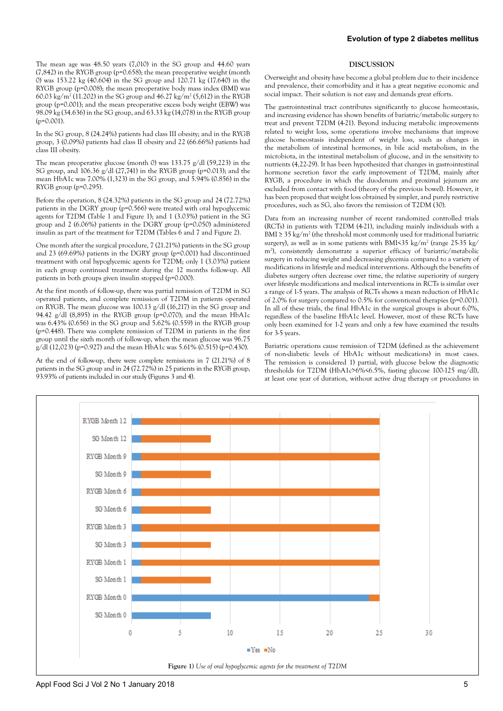The mean age was 48.50 years (7,010) in the SG group and 44.60 years  $(7,842)$  in the RYGB group (p=0.658); the mean preoperative weight (month 0) was 153.22 kg (40.604) in the SG group and 120.71 kg (17.640) in the RYGB group (p=0.008); the mean preoperative body mass index (BMI) was 60.03 kg/m2 (11.202) in the SG group and 46.27 kg/m2 (5,612) in the RYGB group (p=0.001); and the mean preoperative excess body weight (EBW) was 98.09 kg (34.636) in the SG group, and 63.33 kg (14,078) in the RYGB group (p=0.001).

In the SG group, 8 (24.24%) patients had class III obesity; and in the RYGB group, 3 (0.09%) patients had class II obesity and 22 (66.66%) patients had class III obesity.

The mean preoperative glucose (month 0) was 133.75  $g/dl$  (59,223) in the SG group, and 106.36 g/dl (27,741) in the RYGB group (p=0.013); and the mean HbA1c was 7.00% (1,323) in the SG group, and 5.94% (0.856) in the RYGB group ( $p=0.295$ ).

Before the operation, 8 (24.32%) patients in the SG group and 24 (72.72%) patients in the DGRY group (p=0.566) were treated with oral hypoglycemic agents for T2DM (Table 1 and Figure 1); and 1 (3.03%) patient in the SG group and 2 (6.06%) patients in the DGRY group (p=0.050) administered insulin as part of the treatment for T2DM (Tables 6 and 7 and Figure 2).

One month after the surgical procedure, 7 (21.21%) patients in the SG group and 23 (69.69%) patients in the DGRY group (p=0.001) had discontinued treatment with oral hypoglycemic agents for T2DM; only 1 (3.03%) patient in each group continued treatment during the 12 months follow-up. All patients in both groups given insulin stopped (p=0.000).

At the first month of follow-up, there was partial remission of T2DM in SG operated patients, and complete remission of T2DM in patients operated on RYGB. The mean glucose was 100.13 g/dl (16,217) in the SG group and 94.42  $g/dl$  (8,895) in the RYGB group (p=0.070); and the mean HbA1c was 6.43% (0.656) in the SG group and 5.62% (0.559) in the RYGB group (p=0.448). There was complete remission of T2DM in patients in the first group until the sixth month of follow-up, when the mean glucose was 96.75  $g/dl$  (12,023) (p=0.927) and the mean HbA1c was 5.61% (0.515) (p=0.430).

At the end of follow-up, there were complete remissions in 7 (21.21%) of 8 patients in the SG group and in 24 (72.72%) in 25 patients in the RYGB group, 93.93% of patients included in our study (Figures 3 and 4).

## **DISCUSSION**

Overweight and obesity have become a global problem due to their incidence and prevalence, their comorbidity and it has a great negative economic and social impact. Their solution is not easy and demands great efforts.

The gastrointestinal tract contributes significantly to glucose homeostasis, and increasing evidence has shown benefits of bariatric/metabolic surgery to treat and prevent T2DM (4-21). Beyond inducing metabolic improvements related to weight loss, some operations involve mechanisms that improve glucose homeostasis independent of weight loss, such as changes in the metabolism of intestinal hormones, in bile acid metabolism, in the microbiota, in the intestinal metabolism of glucose, and in the sensitivity to nutrients (4,22-29). It has been hypothesized that changes in gastrointestinal hormone secretion favor the early improvement of T2DM, mainly after RYGB, a procedure in which the duodenum and proximal jejunum are excluded from contact with food (theory of the previous bowel). However, it has been proposed that weight loss obtained by simpler, and purely restrictive procedures, such as SG, also favors the remission of T2DM (30).

Data from an increasing number of recent randomized controlled trials (RCTs) in patients with T2DM (4-21), including mainly individuals with a BMI  $\geq$  35 kg/m<sup>2</sup> (the threshold most commonly used for traditional bariatric surgery), as well as in some patients with BMI<35 kg/m2 (range 25-35 kg/ m2 ), consistently demonstrate a superior efficacy of bariatric/metabolic surgery in reducing weight and decreasing glycemia compared to a variety of modifications in lifestyle and medical interventions. Although the benefits of diabetes surgery often decrease over time, the relative superiority of surgery over lifestyle modifications and medical interventions in RCTs is similar over a range of 1-5 years. The analysis of RCTs shows a mean reduction of HbA1c of 2.0% for surgery compared to 0.5% for conventional therapies (p=0.001). In all of these trials, the final HbA1c in the surgical groups is about 6.0%, regardless of the baseline HbA1c level. However, most of these RCTs have only been examined for 1-2 years and only a few have examined the results for 3-5 years.

Bariatric operations cause remission of T2DM (defined as the achievement of non-diabetic levels of HbA1c without medications) in most cases. The remission is considered 1) partial, with glucose below the diagnostic thresholds for T2DM (HbA1c>6%<6.5%, fasting glucose 100-125 mg/dl), at least one year of duration, without active drug therapy or procedures in

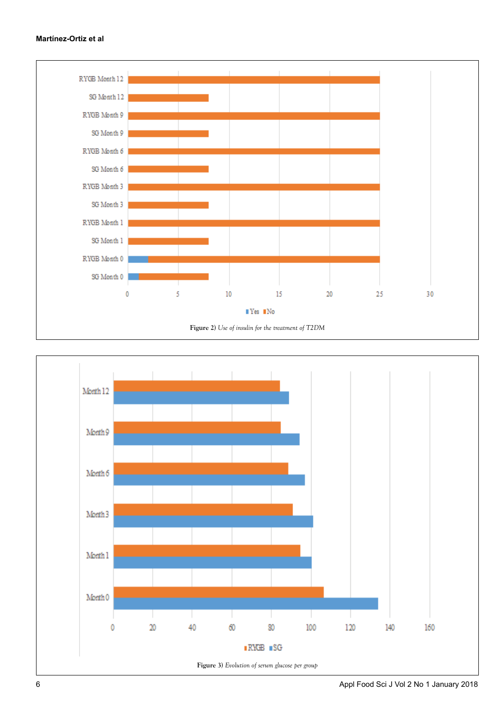# **Martínez-Ortiz et al**



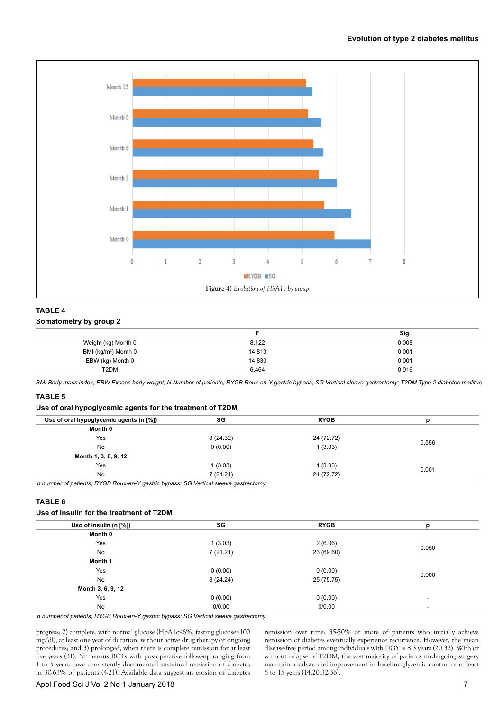## **Evolution of type 2 diabetes mellitus**



# **TABLE 4 Somatometry by group 2**

|                                  |        | Sig.  |
|----------------------------------|--------|-------|
| Weight (kg) Month 0              | 8.122  | 0.008 |
| BMI (kg/m <sup>2</sup> ) Month 0 | 14.813 | 0.001 |
| EBW (kg) Month 0                 | 14.830 | 0.001 |
| T <sub>2</sub> DM                | 6.464  | 0.016 |

*BMI Body mass index; EBW Excess body weight; N Number of patients; RYGB Roux-en-Y gastric bypass; SG Vertical sleeve gastrectomy; T2DM Type 2 diabetes mellitus*

# **TABLE 5**

## **Use of oral hypoglycemic agents for the treatment of T2DM**

| SG       | <b>RYGB</b> |       |  |
|----------|-------------|-------|--|
|          |             |       |  |
| 8(24.32) | 24 (72.72)  |       |  |
| 0(0.00)  | 1(3.03)     | 0.556 |  |
|          |             |       |  |
| (3.03)   | 1(3.03)     |       |  |
| 7(21.21) | 24 (72.72)  | 0.001 |  |
|          |             |       |  |

*n number of patients; RYGB Roux-en-Y gastric bypass; SG Vertical sleeve gastrectomy*

# **TABLE 6**

# **Use of insulin for the treatment of T2DM**

| Uso of insulin (n [%]) | SG       | <b>RYGB</b> | р     |  |
|------------------------|----------|-------------|-------|--|
| Month 0                |          |             |       |  |
| Yes                    | 1(3.03)  | 2(6.06)     |       |  |
| <b>No</b>              | 7(21.21) | 23 (69.60)  | 0.050 |  |
| Month 1                |          |             |       |  |
| Yes                    | 0(0.00)  | 0(0.00)     |       |  |
| <b>No</b>              | 8(24.24) | 25 (75.75)  | 0.000 |  |
| Month 3, 6, 9, 12      |          |             |       |  |
| Yes                    | 0(0.00)  | 0(0.00)     |       |  |
| No                     | 0/0.00   | 0/0.00      | ٠     |  |

*n number of patients; RYGB Roux-en-Y gastric bypass; SG Vertical sleeve gastrectomy*

progress; 2) complete, with normal glucose (HbA1c<6%, fasting glucose<100 mg/dl), at least one year of duration, without active drug therapy or ongoing procedures; and 3) prolonged, when there is complete remission for at least five years (31). Numerous RCTs with postoperative follow-up ranging from 1 to 5 years have consistently documented sustained remission of diabetes in 30-63% of patients (4-21). Available data suggest an erosion of diabetes

remission over time: 35-50% or more of patients who initially achieve remission of diabetes eventually experience recurrence. However, the mean disease-free period among individuals with DGY is 8.3 years (20,32). With or without relapse of T2DM, the vast majority of patients undergoing surgery maintain a substantial improvement in baseline glycemic control of at least 5 to 15 years (14,20,32-36).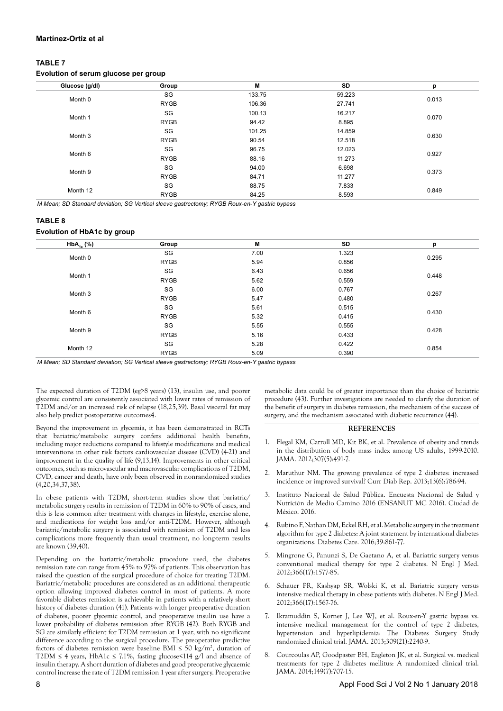## **Martínez-Ortiz et al**

# **TABLE 7**

# **Evolution of serum glucose per group**

| Glucose (g/dl) | Group       | M      | SD     | р     |
|----------------|-------------|--------|--------|-------|
|                | SG          | 133.75 | 59.223 | 0.013 |
| Month 0        | <b>RYGB</b> | 106.36 | 27.741 |       |
| Month 1        | SG          | 100.13 | 16.217 | 0.070 |
|                | <b>RYGB</b> | 94.42  | 8.895  |       |
| Month 3        | SG          | 101.25 | 14.859 |       |
|                | <b>RYGB</b> | 90.54  | 12.518 | 0.630 |
| Month 6        | SG          | 96.75  | 12.023 | 0.927 |
|                | <b>RYGB</b> | 88.16  | 11.273 |       |
| Month 9        | SG          | 94.00  | 6.698  | 0.373 |
|                | <b>RYGB</b> | 84.71  | 11.277 |       |
| Month 12       | SG          | 88.75  | 7.833  | 0.849 |
|                | <b>RYGB</b> | 84.25  | 8.593  |       |

*M Mean; SD Standard deviation; SG Vertical sleeve gastrectomy; RYGB Roux-en-Y gastric bypass*

#### **TABLE 8**

## **Evolution of HbA1c by group**

| $HbA_{1c}$ (%) | Group       | M    | SD    | p     |
|----------------|-------------|------|-------|-------|
| Month 0        | SG          | 7.00 | 1.323 | 0.295 |
|                | <b>RYGB</b> | 5.94 | 0.856 |       |
| Month 1        | SG          | 6.43 | 0.656 | 0.448 |
|                | <b>RYGB</b> | 5.62 | 0.559 |       |
| Month 3        | SG          | 6.00 | 0.767 | 0.267 |
|                | <b>RYGB</b> | 5.47 | 0.480 |       |
| Month 6        | SG          | 5.61 | 0.515 | 0.430 |
|                | <b>RYGB</b> | 5.32 | 0.415 |       |
| Month 9        | SG          | 5.55 | 0.555 | 0.428 |
|                | <b>RYGB</b> | 5.16 | 0.433 |       |
| Month 12       | SG          | 5.28 | 0.422 | 0.854 |
|                | <b>RYGB</b> | 5.09 | 0.390 |       |

*M Mean; SD Standard deviation; SG Vertical sleeve gastrectomy; RYGB Roux-en-Y gastric bypass*

The expected duration of T2DM (eg>8 years) (13), insulin use, and poorer glycemic control are consistently associated with lower rates of remission of T2DM and/or an increased risk of relapse (18,25,39). Basal visceral fat may also help predict postoperative outcomes4.

Beyond the improvement in glycemia, it has been demonstrated in RCTs that bariatric/metabolic surgery confers additional health benefits, including major reductions compared to lifestyle modifications and medical interventions in other risk factors cardiovascular disease (CVD) (4-21) and improvement in the quality of life (9,13,14). Improvements in other critical outcomes, such as microvascular and macrovascular complications of T2DM, CVD, cancer and death, have only been observed in nonrandomized studies (4,20,34,37,38).

In obese patients with T2DM, short-term studies show that bariatric/ metabolic surgery results in remission of T2DM in 60% to 90% of cases, and this is less common after treatment with changes in lifestyle, exercise alone, and medications for weight loss and/or anti-T2DM. However, although bariatric/metabolic surgery is associated with remission of T2DM and less complications more frequently than usual treatment, no long-term results are known (39,40).

Depending on the bariatric/metabolic procedure used, the diabetes remission rate can range from 45% to 97% of patients. This observation has raised the question of the surgical procedure of choice for treating T2DM. Bariatric/metabolic procedures are considered as an additional therapeutic option allowing improved diabetes control in most of patients. A more favorable diabetes remission is achievable in patients with a relatively short history of diabetes duration (41). Patients with longer preoperative duration of diabetes, poorer glycemic control, and preoperative insulin use have a lower probability of diabetes remission after RYGB (42). Both RYGB and SG are similarly efficient for T2DM remission at 1 year, with no significant difference according to the surgical procedure. The preoperative predictive factors of diabetes remission were baseline BMI  $\leq$  50 kg/m<sup>2</sup>, duration of T2DM  $\leq$  4 years, HbA1c  $\leq$  7.1%, fasting glucose $\leq$ 114 g/l and absence of insulin therapy. A short duration of diabetes and good preoperative glycaemic control increase the rate of T2DM remission 1 year after surgery. Preoperative

metabolic data could be of greater importance than the choice of bariatric procedure (43). Further investigations are needed to clarify the duration of the benefit of surgery in diabetes remission, the mechanism of the success of surgery, and the mechanism associated with diabetic recurrence (44).

## **REFERENCES**

- 1. Flegal KM, Carroll MD, Kit BK, et al. Prevalence of obesity and trends in the distribution of body mass index among US adults, 1999-2010. JAMA. 2012;307(5):491-7.
- 2. Maruthur NM. The growing prevalence of type 2 diabetes: increased incidence or improved survival? Curr Diab Rep. 2013;13(6):786-94.
- 3. Instituto Nacional de Salud Pública. Encuesta Nacional de Salud y Nutrición de Medio Camino 2016 (ENSANUT MC 2016). Ciudad de México. 2016.
- 4. Rubino F, Nathan DM, Eckel RH, et al. Metabolic surgery in the treatment algorithm for type 2 diabetes: A joint statement by international diabetes organizations. Diabetes Care. 2016;39:861-77.
- 5. Mingrone G, Panunzi S, De Gaetano A, et al. Bariatric surgery versus conventional medical therapy for type 2 diabetes. N Engl J Med. 2012;366(17):1577-85.
- 6. Schauer PR, Kashyap SR, Wolski K, et al. Bariatric surgery versus intensive medical therapy in obese patients with diabetes. N Engl J Med. 2012;366(17):1567-76.
- 7. Ikramuddin S, Korner J, Lee WJ, et al. Roux-en-Y gastric bypass vs. intensive medical management for the control of type 2 diabetes, hypertension and hyperlipidemia: The Diabetes Surgery Study randomized clinical trial. JAMA. 2013;309(21):2240-9.
- 8. Courcoulas AP, Goodpaster BH, Eagleton JK, et al. Surgical vs. medical treatments for type 2 diabetes mellitus: A randomized clinical trial. JAMA. 2014;149(7):707-15.